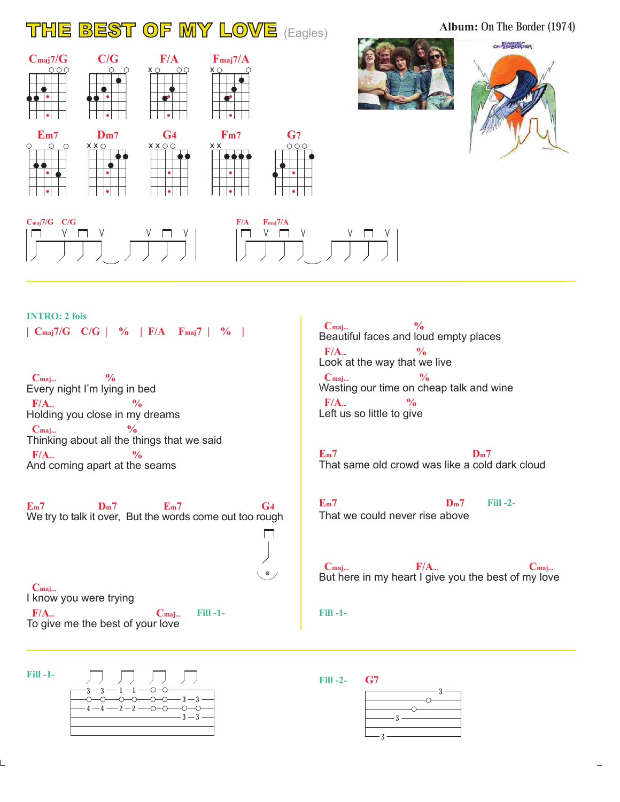## **THE BEST OF MY LOVE** (Eagles) **Album: On The Border (1974)**

 $\begin{array}{ccc}\n\textbf{C}_{\text{maj}}\frac{7}{G} & \textbf{C}_\textbf{G} & \textbf{F}/\textbf{A} & \textbf{F}_{\text{maj}}\frac{7}{A} \\
\text{000} & \text{00} & \text{000} & \text{0000}\n\end{array}$ **F/A** x x **Fm7 Em7 Dm7 G7 G4** x x x x x x **Cmaj7/G C/G F/A Fmaj7/A**  $V \Box$ 





 $\begin{array}{c|c|c|c|c} \mathsf{v} & \mathsf{v} & \mathsf{m} & \mathsf{v} \\ \hline \end{array}$ 

**INTRO: 2 fois | Cmaj7/G C/G | % | F/A Fmaj7 | % |**

Every night I'm lying in bed Holding you close in my dreams Thinking about all the things that we said And coming apart at the seams  **Cmaj... %**  $F/A$ <sub>...</sub><sup>0</sup>/<sub>0</sub>  **Cmaj... %**  $F/A$ ...

We try to talk it over, But the words come out too rough **Em7 Dm7 Em7 G4**

**Fill -1-**

 $\Box$ 

 $\bullet$ 

I know you were trying To give me the best of your love  **Cmaj... F/A... C**maj...

**Fill -1-**



Beautiful faces and loud empty places Look at the way that we live Wasting our time on cheap talk and wine Left us so little to give  **Cmaj... %**  $F/A...$  %  **Cmaj... %**  $F/A$ <sub>...</sub>  $\frac{9}{6}$ 

That same old crowd was like a cold dark cloud **Em7 Dm7**

That we could never rise above **Em7 Dm7**

**Fill -2-**

But here in my heart I give you the best of my love  **Cmaj... Cmaj... Cmaj...** 

**Fill -1-**

**Fill -2- G7**